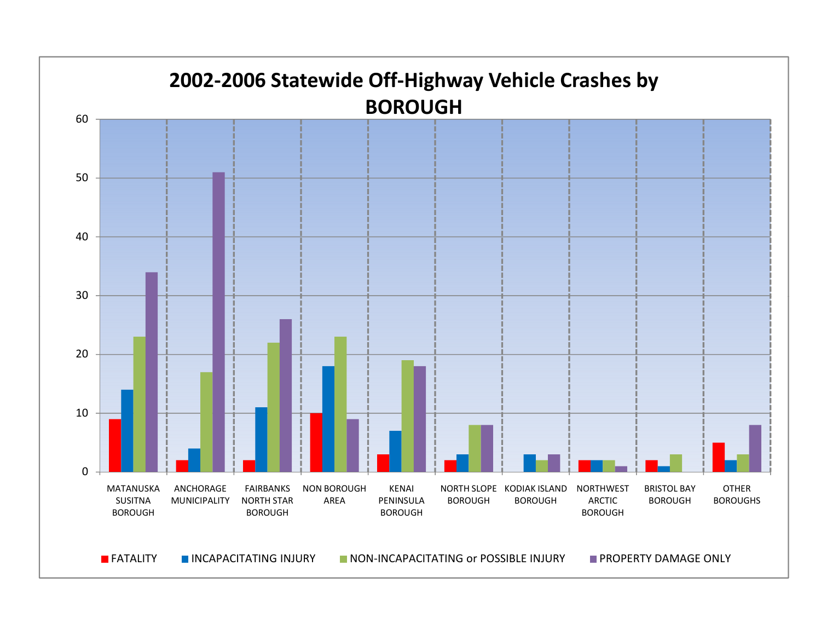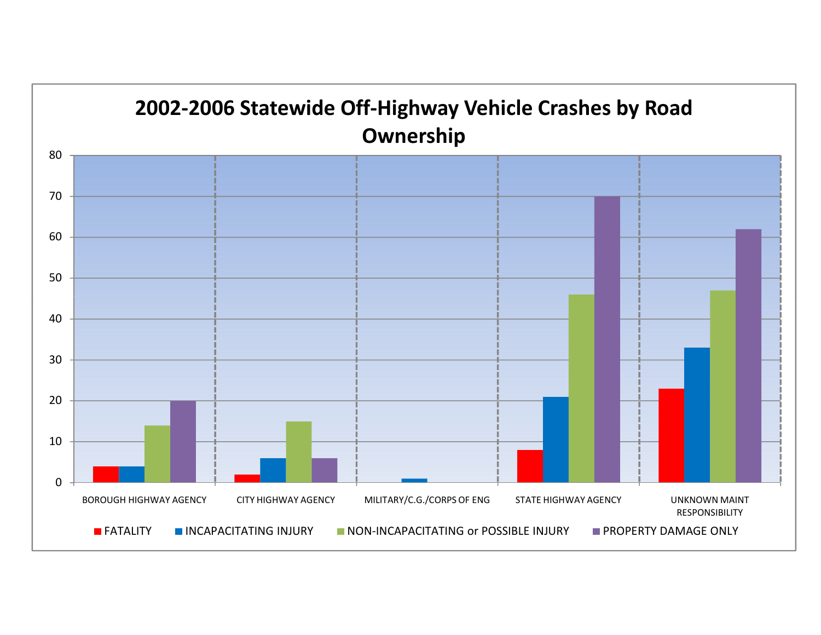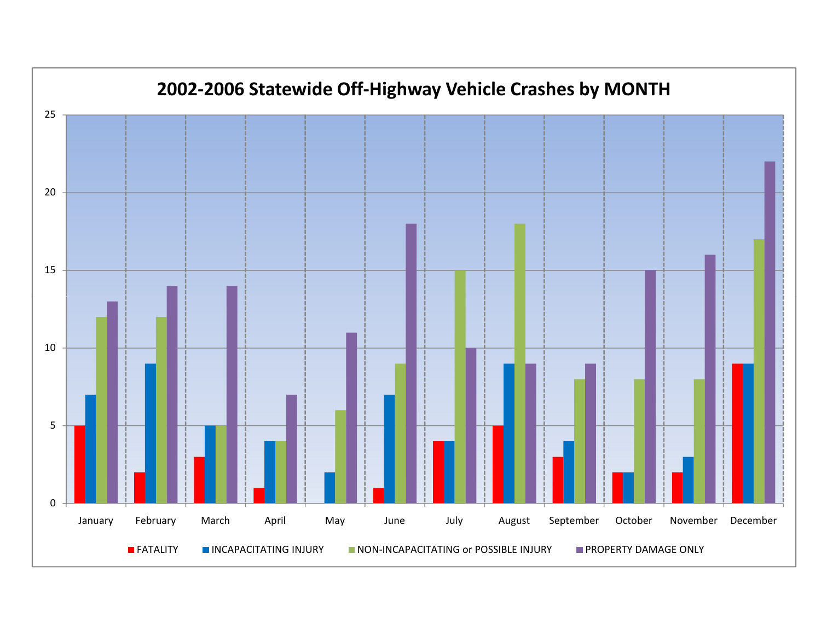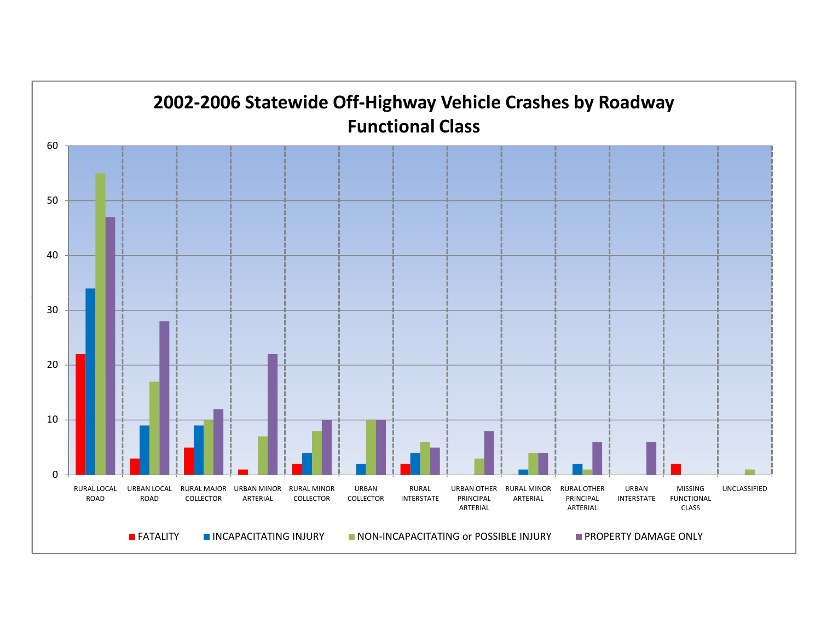